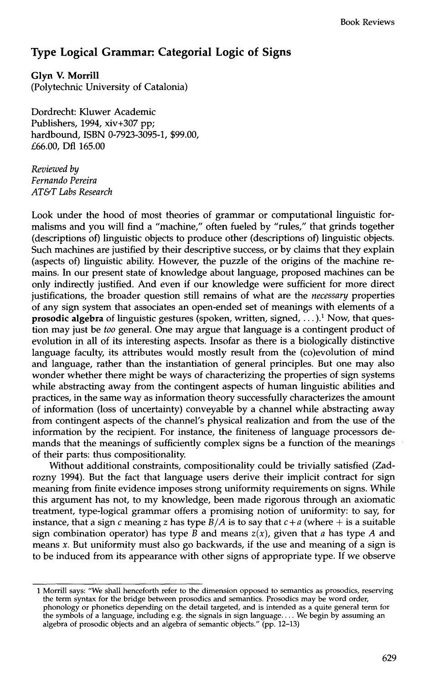## **Type Logical Grammar: Categorial Logic of Signs**

**Glyn V. Morrill** 

(Polytechnic University of Catalonia)

Dordrecht: Kluwer Academic Publishers, 1994, xiv+307 pp; hardbound, ISBN 0-7923-3095-1, \$99.00, £66.00, Dfl 165.00

*Reviewed by Fernando Pereira AT&T Labs Research* 

Look under the hood of most theories of grammar or computational linguistic formalisms and you will find a "machine," often fueled by "rules," that grinds together (descriptions of) linguistic objects to produce other (descriptions of) linguistic objects. Such machines are justified by their descriptive success, or by claims that they explain (aspects of) linguistic ability. However, the puzzle of the origins of the machine remains. In our present state of knowledge about language, proposed machines can be only indirectly justified. And even if our knowledge were sufficient for more direct justifications, the broader question still remains of what are the *necessary* properties of any sign system that associates an open-ended set of meanings with elements of a **prosodic algebra** of linguistic gestures (spoken, written, signed, ...).<sup>1</sup> Now, that question may just be *too* general. One may argue that language is a contingent product of evolution in all of its interesting aspects. Insofar as there is a biologically distinctive language faculty, its attributes would mostly result from the (co)evolution of mind and language, rather than the instantiation of general principles. But one may also wonder whether there might be ways of characterizing the properties of sign systems while abstracting away from the contingent aspects of human linguistic abilities and practices, in the same way as information theory successfully characterizes the amount of information (loss of uncertainty) conveyable by a channel while abstracting away from contingent aspects of the channel's physical realization and from the use of the information by the recipient. For instance, the finiteness of language processors demands that the meanings of sufficiently complex signs be a function of the meanings of their parts: thus compositionality.

Without additional constraints, compositionality could be trivially satisfied (Zadrozny 1994). But the fact that language users derive their implicit contract for sign meaning from finite evidence imposes strong uniformity requirements on signs. While this argument has not, to my knowledge, been made rigorous through an axiomatic treatment, type-logical grammar offers a promising notion of uniformity: to say, for instance, that a sign c meaning z has type  $B/A$  is to say that  $c + a$  (where  $+$  is a suitable sign combination operator) has type  $\overline{B}$  and means  $z(x)$ , given that a has type A and means x. But uniformity must also go backwards, if the use and meaning of a sign is to be induced from its appearance with other signs of appropriate type. If we observe

<sup>1</sup> Morrill says: "We shall henceforth refer to the dimension opposed to semantics as prosodics, reserving the term syntax for the bridge between prosodics and semantics. Prosodics may be word order, phonology or phonetics depending on the detail targeted, and is intended as a quite general term for the symbols of a language, including e.g. the signals in sign language .... We begin by assuming an algebra of prosodic objects and an algebra of semantic objects." (pp. 12-13)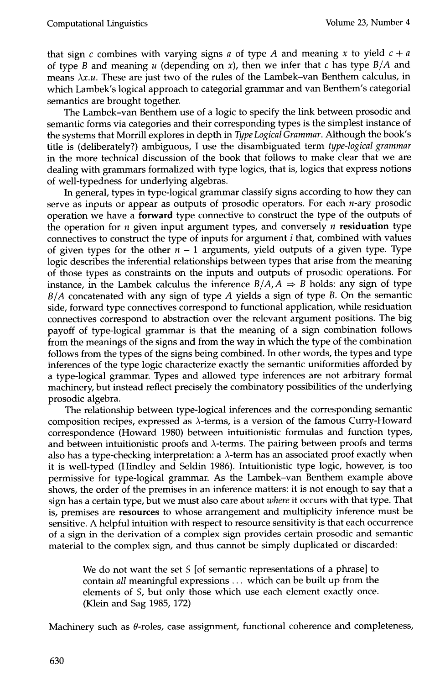that sign c combines with varying signs a of type A and meaning x to yield  $c + a$ of type B and meaning u (depending on x), then we infer that c has type  $B/A$  and means  $\lambda x.u.$  These are just two of the rules of the Lambek-van Benthem calculus, in which Lambek's logical approach to categorial grammar and van Benthem's categorial semantics are brought together.

The Lambek-van Benthem use of a logic to specify the link between prosodic and semantic forms via categories and their corresponding types is the simplest instance of the systems that Morrill explores in depth in *Type Logical Grammar.* Although the book's title is (deliberately?) ambiguous, I use the disambiguated term *type-logical grammar*  in the more technical discussion of the book that follows to make clear that we are dealing with grammars formalized with type logics, that is, logics that express notions of well-typedness for underlying algebras.

In general, types in type-logical grammar classify signs according to how they can serve as inputs or appear as outputs of prosodic operators. For each  $n$ -ary prosodic operation we have a forward type connective to construct the type of the outputs of the operation for  $n$  given input argument types, and conversely  $n$  residuation type connectives to construct the type of inputs for argument  $i$  that, combined with values of given types for the other  $n - 1$  arguments, yield outputs of a given type. Type logic describes the inferential relationships between types that arise from the meaning of those types as constraints on the inputs and outputs of prosodic operations. For instance, in the Lambek calculus the inference  $B/A$ ,  $A \Rightarrow B$  holds: any sign of type *B/A* concatenated with any sign of type A yields a sign of type B. On the semantic side, forward type connectives correspond to functional application, while residuation connectives correspond to abstraction over the relevant argument positions. The big payoff of type-logical grammar is that the meaning of a sign combination follows from the meanings of the signs and from the way in which the type of the combination follows from the types of the signs being combined. In other words, the types and type inferences of the type logic characterize exactly the semantic uniformities afforded by a type-logical grammar. Types and allowed type inferences are not arbitrary formal machinery, but instead reflect precisely the combinatory possibilities of the underlying prosodic algebra.

The relationship between type-logical inferences and the corresponding semantic composition recipes, expressed as  $\lambda$ -terms, is a version of the famous Curry-Howard correspondence (Howard 1980) between intuitionistic formulas and function types, and between intuitionistic proofs and  $\lambda$ -terms. The pairing between proofs and terms also has a type-checking interpretation: a  $\lambda$ -term has an associated proof exactly when it is well-typed (Hindley and Seldin 1986). Intuitionistic type logic, however, is too permissive for type-logical grammar. As the Lambek-van Benthem example above shows, the order of the premises in an inference matters: it is not enough to say that a sign has a certain type, but we must also care about *where* it occurs with that type. That is, premises are resources to whose arrangement and multiplicity inference must be sensitive. A helpful intuition with respect to resource sensitivity is that each occurrence of a sign in the derivation of a complex sign provides certain prosodic and semantic material to the complex sign, and thus cannot be simply duplicated or discarded:

We do not want the set S [of semantic representations of a phrase] to contain *all* meaningful expressions ... which can be built up from the elements of S, but only those which use each element exactly once. (Klein and Sag 1985, 172)

Machinery such as  $\theta$ -roles, case assignment, functional coherence and completeness,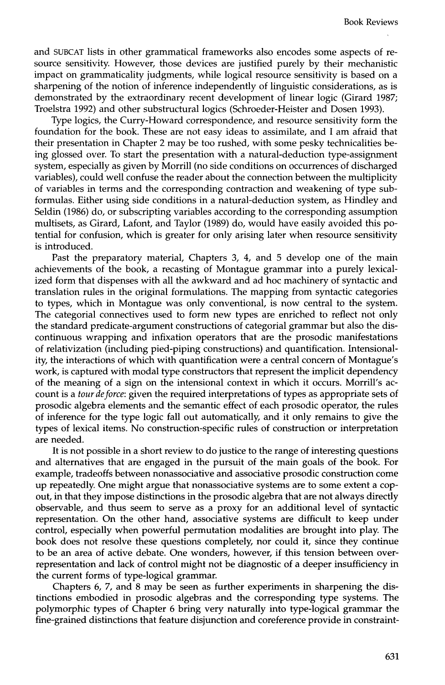and SUBCAT lists in other grammatical frameworks also encodes some aspects of resource sensitivity. However, those devices are justified purely by their mechanistic impact on grammaticality judgments, while logical resource sensitivity is based on a sharpening of the notion of inference independently of linguistic considerations, as is demonstrated by the extraordinary recent development of linear logic (Girard 1987; Troelstra 1992) and other substructural logics (Schroeder-Heister and Dosen 1993).

Type logics, the Curry-Howard correspondence, and resource sensitivity form the foundation for the book. These are not easy ideas to assimilate, and I am afraid that their presentation in Chapter 2 may be too rushed, with some pesky technicalities being glossed over. To start the presentation with a natural-deduction type-assignment system, especially as given by Morrill (no side conditions on occurrences of discharged variables), could well confuse the reader about the connection between the multiplicity of variables in terms and the corresponding contraction and weakening of type subformulas. Either using side conditions in a natural-deduction system, as Hindley and Seldin (1986) do, or subscripting variables according to the corresponding assumption multisets, as Girard, Lafont, and Taylor (1989) do, would have easily avoided this potential for confusion, which is greater for only arising later when resource sensitivity is introduced.

Past the preparatory material, Chapters 3, 4, and 5 develop one of the main achievements of the book, a recasting of Montague grammar into a purely lexicalized form that dispenses with all the awkward and ad hoc machinery of syntactic and translation rules in the original formulations. The mapping from syntactic categories to types, which in Montague was only conventional, is now central to the system. The categorial connectives used to form new types are enriched to reflect not only the standard predicate-argument constructions of categorial grammar but also the discontinuous wrapping and infixation operators that are the prosodic manifestations of relativization (including pied-piping constructions) and quantification. Intensionality, the interactions of which with quantification were a central concern of Montague's work, is captured with modal type constructors that represent the implicit dependency of the meaning of a sign on the intensional context in which it occurs. Morrill's account is a *tour de force:* given the required interpretations of types as appropriate sets of prosodic algebra elements and the semantic effect of each prosodic operator, the rules of inference for the type logic fall out automatically, and it only remains to give the types of lexical items. No construction-specific rules of construction or interpretation are needed.

It is not possible in a short review to do justice to the range of interesting questions and alternatives that are engaged in the pursuit of the main goals of the book. For example, tradeoffs between nonassociative and associative prosodic construction come up repeatedly. One might argue that nonassociative systems are to some extent a copout, in that they impose distinctions in the prosodic algebra that are not always directly observable, and thus seem to serve as a proxy for an additional level of syntactic representation. On the other hand, associative systems are difficult to keep under control, especially when powerful permutation modalities are brought into play. The book does not resolve these questions completely, nor could it, since they continue to be an area of active debate. One wonders, however, if this tension between overrepresentation and lack of control might not be diagnostic of a deeper insufficiency in the current forms of type-logical grammar.

Chapters 6, 7, and 8 may be seen as further experiments in sharpening the distinctions embodied in prosodic algebras and the corresponding type systems. The polymorphic types of Chapter 6 bring very naturally into type-logical grammar the fine-grained distinctions that feature disjunction and coreference provide in constraint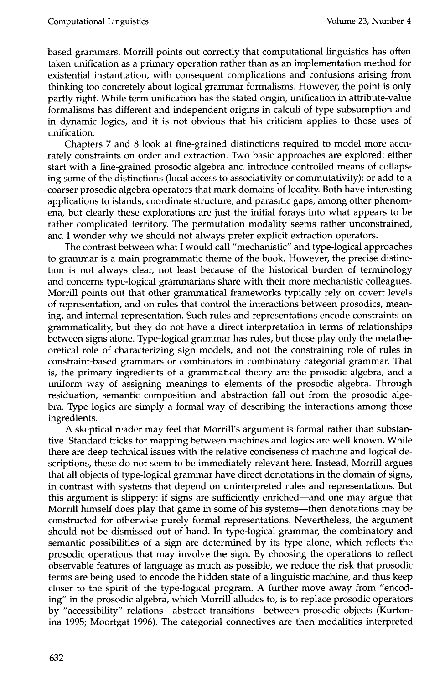based grammars. Morrill points out correctly that computational linguistics has often taken unification as a primary operation rather than as an implementation method for existential instantiation, with consequent complications and confusions arising from thinking too concretely about logical grammar formalisms. However, the point is only partly right. While term unification has the stated origin, unification in attribute-value formalisms has different and independent origins in calculi of type subsumption and in dynamic logics, and it is not obvious that his criticism applies to those uses of unification.

Chapters 7 and 8 look at fine-grained distinctions required to model more accurately constraints on order and extraction. Two basic approaches are explored: either start with a fine-grained prosodic algebra and introduce controlled means of collapsing some of the distinctions (local access to associativity or commutativity); or add to a coarser prosodic algebra operators that mark domains of locality. Both have interesting applications to islands, coordinate structure, and parasitic gaps, among other phenomena, but clearly these explorations are just the initial forays into what appears to be rather complicated territory. The permutation modality seems rather unconstrained, and I wonder why we should not always prefer explicit extraction operators.

The contrast between what I would call "mechanistic" and type-logical approaches to grammar is a main programmatic theme of the book. However, the precise distinction is not always clear, not least because of the historical burden of terminology and concerns type-logical grammarians share with their more mechanistic colleagues. Morrill points out that other grammatical frameworks typically rely on covert levels of representation, and on rules that control the interactions between prosodics, meaning, and internal representation. Such rules and representations encode constraints on grammaticality, but they do not have a direct interpretation in terms of relationships between signs alone. Type-logical grammar has rules, but those play only the metatheoretical role of characterizing sign models, and not the constraining role of rules in constraint-based grammars or combinators in combinatory categorial grammar. That is, the primary ingredients of a grammatical theory are the prosodic algebra, and a uniform way of assigning meanings to elements of the prosodic algebra. Through residuation, semantic composition and abstraction fall out from the prosodic algebra. Type logics are simply a formal way of describing the interactions among those ingredients.

A skeptical reader may feel that Morrill's argument is formal rather than substantive. Standard tricks for mapping between machines and logics are well known. While there are deep technical issues with the relative conciseness of machine and logical descriptions, these do not seem to be immediately relevant here. Instead, Morrill argues that all objects of type-logical grammar have direct denotations in the domain of signs, in contrast with systems that depend on uninterpreted rules and representations. But this argument is slippery: if signs are sufficiently enriched-and one may argue that Morrill himself does play that game in some of his systems—then denotations may be constructed for otherwise purely formal representations. Nevertheless, the argument should not be dismissed out of hand. In type-logical grammar, the combinatory and semantic possibilities of a sign are determined by its type alone, which reflects the prosodic operations that may involve the sign. By choosing the operations to reflect observable features of language as much as possible, we reduce the risk that prosodic terms are being used to encode the hidden state of a linguistic machine, and thus keep closer to the spirit of the type-logical program. A further move away from "encoding" in the prosodic algebra, which Morrill alludes to, is to replace prosodic operators by "accessibility" relations-abstract transitions--between prosodic objects (Kurtonina 1995; Moortgat 1996). The categorial connectives are then modalities interpreted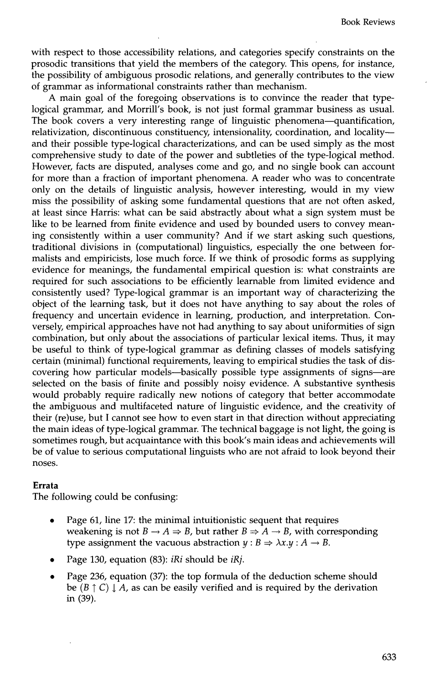with respect to those accessibility relations, and categories specify constraints on the prosodic transitions that yield the members of the category. This opens, for instance, the possibility of ambiguous prosodic relations, and generally contributes to the view of grammar as informational constraints rather than mechanism.

A main goal of the foregoing observations is to convince the reader that typelogical grammar, and Morrill's book, is not just formal grammar business as usual. The book covers a very interesting range of linguistic phenomena—quantification, relativization, discontinuous constituency, intensionality, coordination, and locality- and their possible type-logical characterizations, and can be used simply as the most comprehensive study to date of the power and subtleties of the type-logical method. However, facts are disputed, analyses come and go, and no single book can account for more than a fraction of important phenomena. A reader who was to concentrate only on the details of linguistic analysis, however interesting, would in my view miss the possibility of asking some fundamental questions that are not often asked, at least since Harris: what can be said abstractly about what a sign system must be like to be learned from finite evidence and used by bounded users to convey meaning consistently within a user community? And if we start asking such questions, traditional divisions in (computational) linguistics, especially the one between formalists and empiricists, lose much force. If we think of prosodic forms as supplying evidence for meanings, the fundamental empirical question is: what constraints are required for such associations to be efficiently learnable from limited evidence and consistently used? Type-logical grammar is an important way of characterizing the object of the learning task, but it does not have anything to say about the roles of frequency and uncertain evidence in learning, production, and interpretation. Conversely, empirical approaches have not had anything to say about uniformities of sign combination, but only about the associations of particular lexical items. Thus, it may be useful to think of type-logical grammar as defining classes of models satisfying certain (minimal) functional requirements, leaving to empirical studies the task of discovering how particular models—basically possible type assignments of signs—are selected on the basis of finite and possibly noisy evidence. A substantive synthesis would probably require radically new notions of category that better accommodate the ambiguous and multifaceted nature of linguistic evidence, and the creativity of their (re)use, but I cannot see how to even start in that direction without appreciating the main ideas of type-logical grammar. The technical baggage is not light, the going is sometimes rough, but acquaintance with this book's main ideas and achievements will be of value to serious computational linguists who are not afraid to look beyond their noses.

## **Errata**

The following could be confusing:

- Page 61, line 17: the minimal intuitionistic sequent that requires weakening is not  $B \to A \Rightarrow B$ , but rather  $B \Rightarrow A \to B$ , with corresponding type assignment the vacuous abstraction  $y : B \Rightarrow \lambda x.y : A \rightarrow B$ .
- Page 130, equation (83): *iRi* should be *iRj.*
- Page 236, equation (37): the top formula of the deduction scheme should be  $(B \uparrow C) \downarrow A$ , as can be easily verified and is required by the derivation in (39).